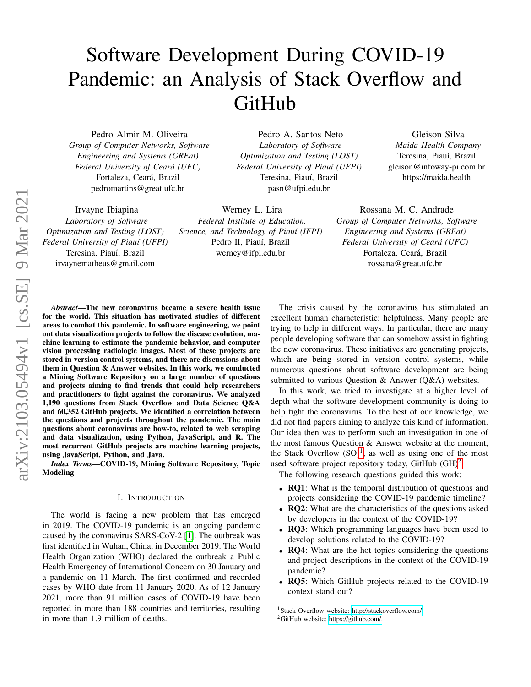# Software Development During COVID-19 Pandemic: an Analysis of Stack Overflow and GitHub

Werney L. Lira *Federal Institute of Education, Science, and Technology of Piau´ı (IFPI)*

Pedro Almir M. Oliveira *Group of Computer Networks, Software Engineering and Systems (GREat) Federal University of Ceara (UFC) ´* Fortaleza, Ceará, Brazil pedromartins@great.ufc.br

Irvayne Ibiapina *Laboratory of Software Optimization and Testing (LOST) Federal University of Piau´ı (UFPI)* Teresina, Piauí, Brazil

irvaynematheus@gmail.com Pedro II, Piauí, Brazil werney@ifpi.edu.br

Pedro A. Santos Neto *Laboratory of Software Optimization and Testing (LOST) Federal University of Piau´ı (UFPI)* Teresina, Piauí, Brazil pasn@ufpi.edu.br

Gleison Silva *Maida Health Company* Teresina, Piauí, Brazil gleison@infoway-pi.com.br https://maida.health

Rossana M. C. Andrade *Group of Computer Networks, Software Engineering and Systems (GREat) Federal University of Ceara (UFC) ´* Fortaleza, Ceará, Brazil rossana@great.ufc.br

*Abstract*—The new coronavirus became a severe health issue for the world. This situation has motivated studies of different areas to combat this pandemic. In software engineering, we point out data visualization projects to follow the disease evolution, machine learning to estimate the pandemic behavior, and computer vision processing radiologic images. Most of these projects are stored in version control systems, and there are discussions about them in Question & Answer websites. In this work, we conducted a Mining Software Repository on a large number of questions and projects aiming to find trends that could help researchers and practitioners to fight against the coronavirus. We analyzed 1,190 questions from Stack Overflow and Data Science Q&A and 60,352 GitHub projects. We identified a correlation between the questions and projects throughout the pandemic. The main questions about coronavirus are how-to, related to web scraping and data visualization, using Python, JavaScript, and R. The most recurrent GitHub projects are machine learning projects, using JavaScript, Python, and Java.

*Index Terms*—COVID-19, Mining Software Repository, Topic Modeling

#### I. INTRODUCTION

The world is facing a new problem that has emerged in 2019. The COVID-19 pandemic is an ongoing pandemic caused by the coronavirus SARS-CoV-2 [\[1\]](#page-7-0). The outbreak was first identified in Wuhan, China, in December 2019. The World Health Organization (WHO) declared the outbreak a Public Health Emergency of International Concern on 30 January and a pandemic on 11 March. The first confirmed and recorded cases by WHO date from 11 January 2020. As of 12 January 2021, more than 91 million cases of COVID-19 have been reported in more than 188 countries and territories, resulting in more than 1.9 million of deaths.

The crisis caused by the coronavirus has stimulated an excellent human characteristic: helpfulness. Many people are trying to help in different ways. In particular, there are many people developing software that can somehow assist in fighting the new coronavirus. These initiatives are generating projects, which are being stored in version control systems, while numerous questions about software development are being submitted to various Question & Answer (Q&A) websites.

In this work, we tried to investigate at a higher level of depth what the software development community is doing to help fight the coronavirus. To the best of our knowledge, we did not find papers aiming to analyze this kind of information. Our idea then was to perform such an investigation in one of the most famous Question & Answer website at the moment, the Stack Overflow  $(SO)^1$  $(SO)^1$ , as well as using one of the most used software project repository today, GitHub  $(GH)^2$  $(GH)^2$ .

The following research questions guided this work:

- **RQ1**: What is the temporal distribution of questions and projects considering the COVID-19 pandemic timeline?
- **RQ2**: What are the characteristics of the questions asked by developers in the context of the COVID-19?
- RQ3: Which programming languages have been used to develop solutions related to the COVID-19?
- RQ4: What are the hot topics considering the questions and project descriptions in the context of the COVID-19 pandemic?
- RQ5: Which GitHub projects related to the COVID-19 context stand out?

<span id="page-0-1"></span><span id="page-0-0"></span><sup>1</sup>Stack Overflow website: [http://stackoverflow.com/.](http://stackoverflow.com/) <sup>2</sup>GitHub website: [https://github.com/.](https://github.com/)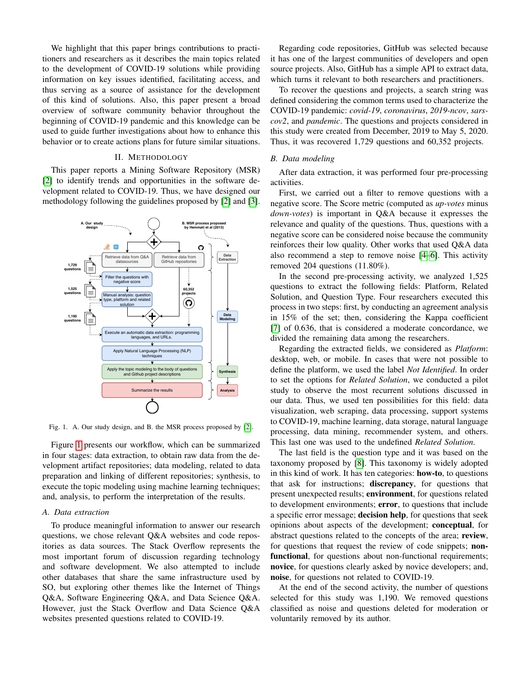We highlight that this paper brings contributions to practitioners and researchers as it describes the main topics related to the development of COVID-19 solutions while providing information on key issues identified, facilitating access, and thus serving as a source of assistance for the development of this kind of solutions. Also, this paper present a broad overview of software community behavior throughout the beginning of COVID-19 pandemic and this knowledge can be used to guide further investigations about how to enhance this behavior or to create actions plans for future similar situations.

# II. METHODOLOGY

This paper reports a Mining Software Repository (MSR) [\[2\]](#page-7-1) to identify trends and opportunities in the software development related to COVID-19. Thus, we have designed our methodology following the guidelines proposed by [\[2\]](#page-7-1) and [\[3\]](#page-7-2).



<span id="page-1-0"></span>Fig. 1. A. Our study design, and B. the MSR process proposed by [\[2\]](#page-7-1).

Figure [1](#page-1-0) presents our workflow, which can be summarized in four stages: data extraction, to obtain raw data from the development artifact repositories; data modeling, related to data preparation and linking of different repositories; synthesis, to execute the topic modeling using machine learning techniques; and, analysis, to perform the interpretation of the results.

#### *A. Data extraction*

To produce meaningful information to answer our research questions, we chose relevant Q&A websites and code repositories as data sources. The Stack Overflow represents the most important forum of discussion regarding technology and software development. We also attempted to include other databases that share the same infrastructure used by SO, but exploring other themes like the Internet of Things Q&A, Software Engineering Q&A, and Data Science Q&A. However, just the Stack Overflow and Data Science Q&A websites presented questions related to COVID-19.

Regarding code repositories, GitHub was selected because it has one of the largest communities of developers and open source projects. Also, GitHub has a simple API to extract data, which turns it relevant to both researchers and practitioners.

To recover the questions and projects, a search string was defined considering the common terms used to characterize the COVID-19 pandemic: *covid-19*, *coronavirus*, *2019-ncov*, *sarscov2*, and *pandemic*. The questions and projects considered in this study were created from December, 2019 to May 5, 2020. Thus, it was recovered 1,729 questions and 60,352 projects.

## *B. Data modeling*

After data extraction, it was performed four pre-processing activities.

First, we carried out a filter to remove questions with a negative score. The Score metric (computed as *up-votes* minus *down-votes*) is important in Q&A because it expresses the relevance and quality of the questions. Thus, questions with a negative score can be considered noise because the community reinforces their low quality. Other works that used Q&A data also recommend a step to remove noise [\[4–](#page-7-3)[6\]](#page-7-4). This activity removed 204 questions (11.80%).

In the second pre-processing activity, we analyzed 1,525 questions to extract the following fields: Platform, Related Solution, and Question Type. Four researchers executed this process in two steps: first, by conducting an agreement analysis in 15% of the set; then, considering the Kappa coefficient [\[7\]](#page-7-5) of 0.636, that is considered a moderate concordance, we divided the remaining data among the researchers.

Regarding the extracted fields, we considered as *Platform*: desktop, web, or mobile. In cases that were not possible to define the platform, we used the label *Not Identified*. In order to set the options for *Related Solution*, we conducted a pilot study to observe the most recurrent solutions discussed in our data. Thus, we used ten possibilities for this field: data visualization, web scraping, data processing, support systems to COVID-19, machine learning, data storage, natural language processing, data mining, recommender system, and others. This last one was used to the undefined *Related Solution*.

The last field is the question type and it was based on the taxonomy proposed by [\[8\]](#page-7-6). This taxonomy is widely adopted in this kind of work. It has ten categories: how-to, to questions that ask for instructions; discrepancy, for questions that present unexpected results; environment, for questions related to development environments; error, to questions that include a specific error message; decision help, for questions that seek opinions about aspects of the development; conceptual, for abstract questions related to the concepts of the area; review, for questions that request the review of code snippets; nonfunctional, for questions about non-functional requirements; novice, for questions clearly asked by novice developers; and, noise, for questions not related to COVID-19.

At the end of the second activity, the number of questions selected for this study was 1,190. We removed questions classified as noise and questions deleted for moderation or voluntarily removed by its author.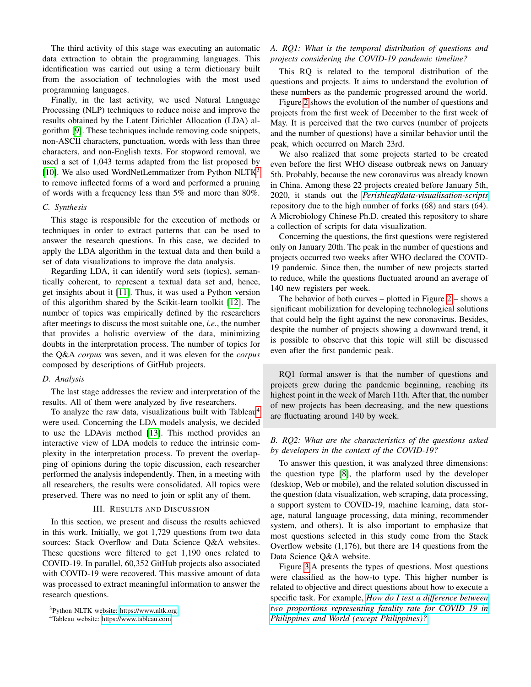The third activity of this stage was executing an automatic data extraction to obtain the programming languages. This identification was carried out using a term dictionary built from the association of technologies with the most used programming languages.

Finally, in the last activity, we used Natural Language Processing (NLP) techniques to reduce noise and improve the results obtained by the Latent Dirichlet Allocation (LDA) algorithm [\[9\]](#page-7-7). These techniques include removing code snippets, non-ASCII characters, punctuation, words with less than three characters, and non-English texts. For stopword removal, we used a set of 1,043 terms adapted from the list proposed by [\[10\]](#page-7-8). We also used WordNetLemmatizer from Python NLTK<sup>[3](#page-2-0)</sup> to remove inflected forms of a word and performed a pruning of words with a frequency less than 5% and more than 80%.

#### *C. Synthesis*

This stage is responsible for the execution of methods or techniques in order to extract patterns that can be used to answer the research questions. In this case, we decided to apply the LDA algorithm in the textual data and then build a set of data visualizations to improve the data analysis.

Regarding LDA, it can identify word sets (topics), semantically coherent, to represent a textual data set and, hence, get insights about it [\[11\]](#page-7-9). Thus, it was used a Python version of this algorithm shared by the Scikit-learn toolkit [\[12\]](#page-7-10). The number of topics was empirically defined by the researchers after meetings to discuss the most suitable one, *i.e.*, the number that provides a holistic overview of the data, minimizing doubts in the interpretation process. The number of topics for the Q&A *corpus* was seven, and it was eleven for the *corpus* composed by descriptions of GitHub projects.

#### *D. Analysis*

The last stage addresses the review and interpretation of the results. All of them were analyzed by five researchers.

To analyze the raw data, visualizations built with Tableau<sup>[4](#page-2-1)</sup> were used. Concerning the LDA models analysis, we decided to use the LDAvis method [\[13\]](#page-7-11). This method provides an interactive view of LDA models to reduce the intrinsic complexity in the interpretation process. To prevent the overlapping of opinions during the topic discussion, each researcher performed the analysis independently. Then, in a meeting with all researchers, the results were consolidated. All topics were preserved. There was no need to join or split any of them.

# III. RESULTS AND DISCUSSION

In this section, we present and discuss the results achieved in this work. Initially, we got 1,729 questions from two data sources: Stack Overflow and Data Science Q&A websites. These questions were filtered to get 1,190 ones related to COVID-19. In parallel, 60,352 GitHub projects also associated with COVID-19 were recovered. This massive amount of data was processed to extract meaningful information to answer the research questions.

# *A. RQ1: What is the temporal distribution of questions and projects considering the COVID-19 pandemic timeline?*

This RQ is related to the temporal distribution of the questions and projects. It aims to understand the evolution of these numbers as the pandemic progressed around the world.

Figure [2](#page-3-0) shows the evolution of the number of questions and projects from the first week of December to the first week of May. It is perceived that the two curves (number of projects and the number of questions) have a similar behavior until the peak, which occurred on March 23rd.

We also realized that some projects started to be created even before the first WHO disease outbreak news on January 5th. Probably, because the new coronavirus was already known in China. Among these 22 projects created before January 5th, 2020, it stands out the *[Perishleaf/data-visualisation-scripts](https://github.com/Perishleaf/data-visualisation-scripts)* repository due to the high number of forks (68) and stars (64). A Microbiology Chinese Ph.D. created this repository to share a collection of scripts for data visualization.

Concerning the questions, the first questions were registered only on January 20th. The peak in the number of questions and projects occurred two weeks after WHO declared the COVID-19 pandemic. Since then, the number of new projects started to reduce, while the questions fluctuated around an average of 140 new registers per week.

The behavior of both curves – plotted in Figure [2](#page-3-0) – shows a significant mobilization for developing technological solutions that could help the fight against the new coronavirus. Besides, despite the number of projects showing a downward trend, it is possible to observe that this topic will still be discussed even after the first pandemic peak.

RQ1 formal answer is that the number of questions and projects grew during the pandemic beginning, reaching its highest point in the week of March 11th. After that, the number of new projects has been decreasing, and the new questions are fluctuating around 140 by week.

# *B. RQ2: What are the characteristics of the questions asked by developers in the context of the COVID-19?*

To answer this question, it was analyzed three dimensions: the question type [\[8\]](#page-7-6), the platform used by the developer (desktop, Web or mobile), and the related solution discussed in the question (data visualization, web scraping, data processing, a support system to COVID-19, machine learning, data storage, natural language processing, data mining, recommender system, and others). It is also important to emphasize that most questions selected in this study come from the Stack Overflow website (1,176), but there are 14 questions from the Data Science Q&A website.

Figure [3.](#page-3-1)A presents the types of questions. Most questions were classified as the how-to type. This higher number is related to objective and direct questions about how to execute a specific task. For example, *[How do I test a difference between](http://datascience.stackexchange.com/questions/69709) [two proportions representing fatality rate for COVID 19 in](http://datascience.stackexchange.com/questions/69709) [Philippines and World \(except Philippines\)?](http://datascience.stackexchange.com/questions/69709)*.

<span id="page-2-0"></span><sup>3</sup>Python NLTK website: [https://www.nltk.org.](https://www.nltk.org)

<span id="page-2-1"></span><sup>4</sup>Tableau website: [https://www.tableau.com.](https://www.tableau.com)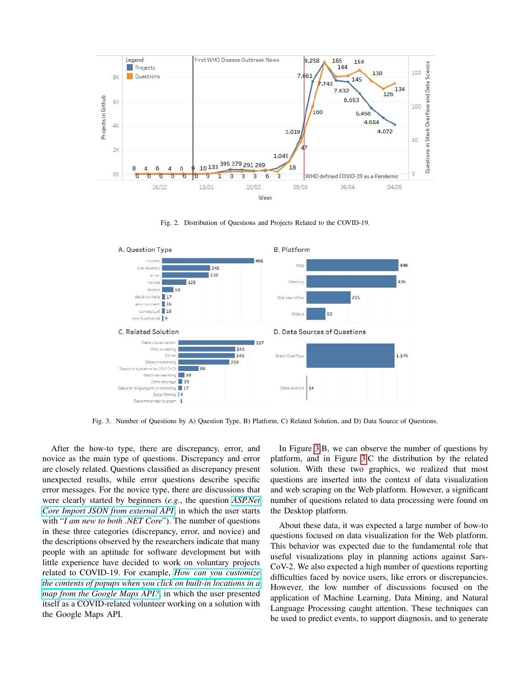

<span id="page-3-0"></span>Fig. 2. Distribution of Questions and Projects Related to the COVID-19.



<span id="page-3-1"></span>Fig. 3. Number of Questions by A) Question Type, B) Platform, C) Related Solution, and D) Data Source of Questions.

After the how-to type, there are discrepancy, error, and novice as the main type of questions. Discrepancy and error are closely related. Questions classified as discrepancy present unexpected results, while error questions describe specific error messages. For the novice type, there are discussions that were clearly started by beginners (*e.g.*, the question *[ASP.Net](https://stackoverflow.com/questions/60793702) [Core Import JSON from external API](https://stackoverflow.com/questions/60793702)*, in which the user starts with "*I am new to both .NET Core*"). The number of questions in these three categories (discrepancy, error, and novice) and the descriptions observed by the researchers indicate that many people with an aptitude for software development but with little experience have decided to work on voluntary projects related to COVID-19. For example, *[How can you customize](https://stackoverflow.com/questions/61294586) [the contents of popups when you click on built-in locations in a](https://stackoverflow.com/questions/61294586) [map from the Google Maps API?](https://stackoverflow.com/questions/61294586)*, in which the user presented itself as a COVID-related volunteer working on a solution with the Google Maps API.

In Figure [3.](#page-3-1)B, we can observe the number of questions by platform, and in Figure [3.](#page-3-1)C the distribution by the related solution. With these two graphics, we realized that most questions are inserted into the context of data visualization and web scraping on the Web platform. However, a significant number of questions related to data processing were found on the Desktop platform.

About these data, it was expected a large number of how-to questions focused on data visualization for the Web platform. This behavior was expected due to the fundamental role that useful visualizations play in planning actions against Sars-CoV-2. We also expected a high number of questions reporting difficulties faced by novice users, like errors or discrepancies. However, the low number of discussions focused on the application of Machine Learning, Data Mining, and Natural Language Processing caught attention. These techniques can be used to predict events, to support diagnosis, and to generate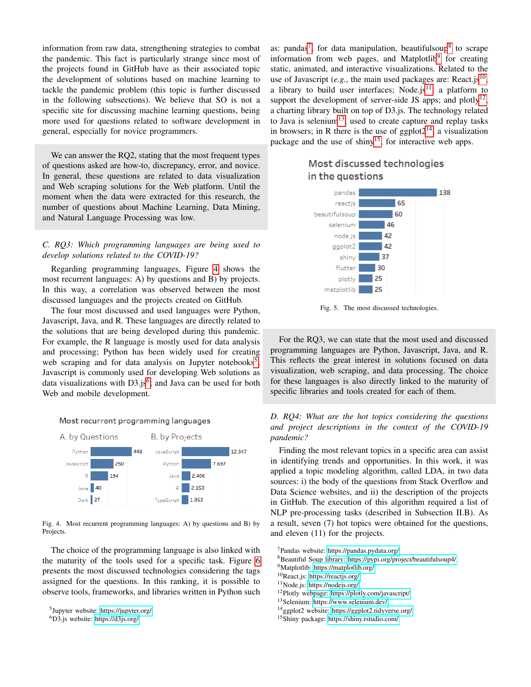information from raw data, strengthening strategies to combat the pandemic. This fact is particularly strange since most of the projects found in GitHub have as their associated topic the development of solutions based on machine learning to tackle the pandemic problem (this topic is further discussed in the following subsections). We believe that SO is not a specific site for discussing machine learning questions, being more used for questions related to software development in general, especially for novice programmers.

We can answer the RQ2, stating that the most frequent types of questions asked are how-to, discrepancy, error, and novice. In general, these questions are related to data visualization and Web scraping solutions for the Web platform. Until the moment when the data were extracted for this research, the number of questions about Machine Learning, Data Mining, and Natural Language Processing was low.

# *C. RQ3: Which programming languages are being used to develop solutions related to the COVID-19?*

Regarding programming languages, Figure [4](#page-4-0) shows the most recurrent languages: A) by questions and B) by projects. In this way, a correlation was observed between the most discussed languages and the projects created on GitHub.

The four most discussed and used languages were Python, Javascript, Java, and R. These languages are directly related to the solutions that are being developed during this pandemic. For example, the R language is mostly used for data analysis and processing; Python has been widely used for creating web scraping and for data analysis on Jupyter notebooks<sup>[5](#page-4-1)</sup>; Javascript is commonly used for developing Web solutions as data visualizations with  $D3$ .js<sup>[6](#page-4-2)</sup>; and Java can be used for both Web and mobile development.

### Most recurrent programming languages



<span id="page-4-0"></span>Fig. 4. Most recurrent programming languages: A) by questions and B) by Projects.

The choice of the programming language is also linked with the maturity of the tools used for a specific task. Figure [6](#page-5-0) presents the most discussed technologies considering the tags assigned for the questions. In this ranking, it is possible to observe tools, frameworks, and libraries written in Python such

as: pandas<sup>[7](#page-4-3)</sup>, for data manipulation, beautifulsoup<sup>[8](#page-4-4)</sup> to scrape information from web pages, and Matplotlib<sup>[9](#page-4-5)</sup> for creating static, animated, and interactive visualizations. Related to the use of Javascript  $(e.g.,$  the main used packages are: React.js<sup>[10](#page-4-6)</sup>, a library to build user interfaces; Node.js<sup>[11](#page-4-7)</sup>, a platform to support the development of server-side JS apps; and plotly $^{12}$  $^{12}$  $^{12}$ , a charting library built on top of D3.js. The technology related to Java is selenium<sup>[13](#page-4-9)</sup>, used to create capture and replay tasks in browsers; in R there is the use of ggplot $2^{14}$  $2^{14}$  $2^{14}$ , a visualization package and the use of shiny<sup>[15](#page-4-11)</sup>, for interactive web apps.



# Most discussed technologies in the questions

Fig. 5. The most discussed technologies.

For the RQ3, we can state that the most used and discussed programming languages are Python, Javascript, Java, and R. This reflects the great interest in solutions focused on data visualization, web scraping, and data processing. The choice for these languages is also directly linked to the maturity of specific libraries and tools created for each of them.

# *D. RQ4: What are the hot topics considering the questions and project descriptions in the context of the COVID-19 pandemic?*

Finding the most relevant topics in a specific area can assist in identifying trends and opportunities. In this work, it was applied a topic modeling algorithm, called LDA, in two data sources: i) the body of the questions from Stack Overflow and Data Science websites, and ii) the description of the projects in GitHub. The execution of this algorithm required a list of NLP pre-processing tasks (described in Subsection II.B). As a result, seven (7) hot topics were obtained for the questions, and eleven (11) for the projects.

<span id="page-4-3"></span><sup>7</sup>Pandas website: [https://pandas.pydata.org/.](https://pandas.pydata.org/)

<span id="page-4-4"></span><sup>8</sup>Beautiful Soup library: [https://pypi.org/project/beautifulsoup4/.](https://pypi.org/project/beautifulsoup4/)

<span id="page-4-5"></span><sup>9</sup>Matplotlib: [https://matplotlib.org/.](https://matplotlib.org/)

<span id="page-4-7"></span><sup>11</sup>Node.js: [https://nodejs.org/.](https://nodejs.org/)

<span id="page-4-8"></span><sup>12</sup>Plotly webpage: [https://plotly.com/javascript/.](https://plotly.com/javascript/)

<span id="page-4-9"></span><sup>13</sup>Selenium: [https://www.selenium.dev/.](https://www.selenium.dev/)

<span id="page-4-10"></span><sup>14</sup>ggplot2 website: [https://ggplot2.tidyverse.org/.](https://ggplot2.tidyverse.org/)

<span id="page-4-11"></span><sup>15</sup>Shiny package: [https://shiny.rstudio.com/.](https://shiny.rstudio.com/)

<span id="page-4-1"></span><sup>5</sup> Jupyter website: [https://jupyter.org/.](https://jupyter.org/)

<span id="page-4-2"></span><sup>6</sup>D3.js website: [https://d3js.org/.](https://d3js.org/)

<span id="page-4-6"></span><sup>10</sup>React.js: [https://reactjs.org/.](https://reactjs.org/)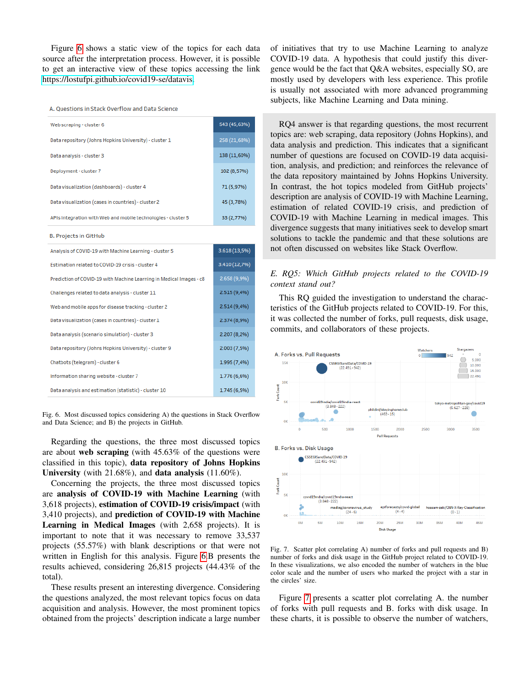Figure [6](#page-5-0) shows a static view of the topics for each data source after the interpretation process. However, it is possible to get an interactive view of these topics accessing the link [https://lostufpi.github.io/covid19-se/datavis.](https://lostufpi.github.io/covid19-se/datavis)

A. Questions in Stack Overflow and Data Science

| Web scraping - cluster 6                                      | 543 (45,63%) |
|---------------------------------------------------------------|--------------|
| Data repository (Johns Hopkins University) - cluster 1        | 258 (21,68%) |
| Data analysis - cluster 3                                     | 138 (11,60%) |
| Deployment - cluster 7                                        | 102 (8,57%)  |
| Data visualization (dashboards) - cluster 4                   | 71 (5,97%)   |
| Data visualization (cases in countries) - cluster 2           | 45 (3,78%)   |
| APIs integration with Web and mobile technologies - cluster 5 | 33 (2,77%)   |

**B. Projects in GitHub** 

| Analysis of COVID-19 with Machine Learning - cluster 5              | $3.618(13,5\%)$ |
|---------------------------------------------------------------------|-----------------|
| Estimation related to COVID-19 crisis - cluster 4                   | 3.410 (12,7%)   |
| Prediction of COVID-19 with Machine Learning in Medical Images - c8 | 2.658 (9,9%)    |
| Challenges related to data analysis - cluster 11                    | 2.515(9,4%      |
| Web and mobile apps for disease tracking - cluster 2                | 2.514(9,4%      |
| Data visualization (cases in countries) - cluster 1                 | 2.374 (8,9%)    |
| Data analysis (scenario simulation) - cluster 3                     | 2.207 (8,2%)    |
| Data repository (Johns Hopkins University) - cluster 9              | 2.003(7.5%      |
| Chatbots (telegram) - cluster 6                                     | 1.995 (7,4%)    |
| Information sharing website - cluster 7                             | 1.776 (6,6%)    |
| Data analysis and estimation (statistic) - cluster 10               | 1.745(6,5%      |

<span id="page-5-0"></span>Fig. 6. Most discussed topics considering A) the questions in Stack Overflow and Data Science; and B) the projects in GitHub.

Regarding the questions, the three most discussed topics are about web scraping (with 45.63% of the questions were classified in this topic), data repository of Johns Hopkins University (with 21.68%), and data analysis (11.60%).

Concerning the projects, the three most discussed topics are analysis of COVID-19 with Machine Learning (with 3,618 projects), estimation of COVID-19 crisis/impact (with 3,410 projects), and prediction of COVID-19 with Machine Learning in Medical Images (with 2,658 projects). It is important to note that it was necessary to remove 33,537 projects (55.57%) with blank descriptions or that were not written in English for this analysis. Figure [6.](#page-5-0)B presents the results achieved, considering 26,815 projects (44.43% of the total).

These results present an interesting divergence. Considering the questions analyzed, the most relevant topics focus on data acquisition and analysis. However, the most prominent topics obtained from the projects' description indicate a large number of initiatives that try to use Machine Learning to analyze COVID-19 data. A hypothesis that could justify this divergence would be the fact that Q&A websites, especially SO, are mostly used by developers with less experience. This profile is usually not associated with more advanced programming subjects, like Machine Learning and Data mining.

RQ4 answer is that regarding questions, the most recurrent topics are: web scraping, data repository (Johns Hopkins), and data analysis and prediction. This indicates that a significant number of questions are focused on COVID-19 data acquisition, analysis, and prediction; and reinforces the relevance of the data repository maintained by Johns Hopkins University. In contrast, the hot topics modeled from GitHub projects' description are analysis of COVID-19 with Machine Learning, estimation of related COVID-19 crisis, and prediction of COVID-19 with Machine Learning in medical images. This divergence suggests that many initiatives seek to develop smart solutions to tackle the pandemic and that these solutions are not often discussed on websites like Stack Overflow.

# *E. RQ5: Which GitHub projects related to the COVID-19 context stand out?*

This RQ guided the investigation to understand the characteristics of the GitHub projects related to COVID-19. For this, it was collected the number of forks, pull requests, disk usage, commits, and collaborators of these projects.

![](_page_5_Figure_13.jpeg)

<span id="page-5-1"></span>Fig. 7. Scatter plot correlating A) number of forks and pull requests and B) number of forks and disk usage in the GitHub project related to COVID-19. In these visualizations, we also encoded the number of watchers in the blue color scale and the number of users who marked the project with a star in the circles' size.

Figure [7](#page-5-1) presents a scatter plot correlating A. the number of forks with pull requests and B. forks with disk usage. In these charts, it is possible to observe the number of watchers,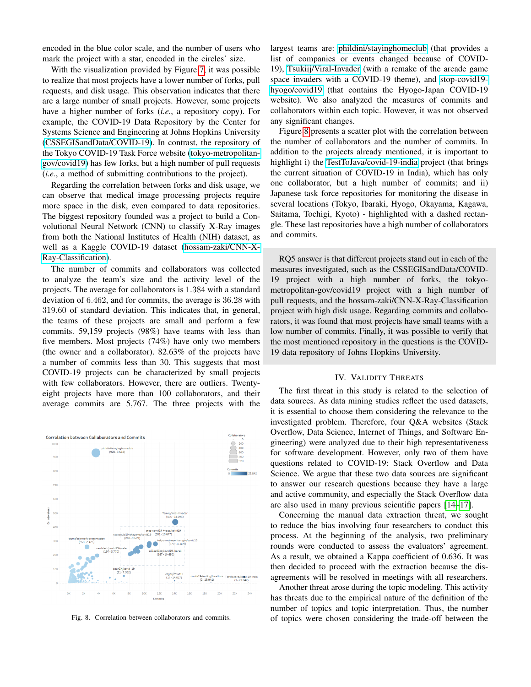encoded in the blue color scale, and the number of users who mark the project with a star, encoded in the circles' size.

With the visualization provided by Figure [7,](#page-5-1) it was possible to realize that most projects have a lower number of forks, pull requests, and disk usage. This observation indicates that there are a large number of small projects. However, some projects have a higher number of forks (*i.e.*, a repository copy). For example, the COVID-19 Data Repository by the Center for Systems Science and Engineering at Johns Hopkins University [\(CSSEGISandData/COVID-19\)](https://github.com/CSSEGISandData/COVID-19). In contrast, the repository of the Tokyo COVID-19 Task Force website [\(tokyo-metropolitan](https://github.com/tokyo-metropolitan-gov/covid19)[gov/covid19\)](https://github.com/tokyo-metropolitan-gov/covid19) has few forks, but a high number of pull requests (*i.e.*, a method of submitting contributions to the project).

Regarding the correlation between forks and disk usage, we can observe that medical image processing projects require more space in the disk, even compared to data repositories. The biggest repository founded was a project to build a Convolutional Neural Network (CNN) to classify X-Ray images from both the National Institutes of Health (NIH) dataset, as well as a Kaggle COVID-19 dataset [\(hossam-zaki/CNN-X-](https://github.com/hossam-zaki/CNN-X-Ray-Classification)[Ray-Classification\)](https://github.com/hossam-zaki/CNN-X-Ray-Classification).

The number of commits and collaborators was collected to analyze the team's size and the activity level of the projects. The average for collaborators is 1.384 with a standard deviation of 6.462, and for commits, the average is 36.28 with 319.60 of standard deviation. This indicates that, in general, the teams of these projects are small and perform a few commits. 59,159 projects (98%) have teams with less than five members. Most projects (74%) have only two members (the owner and a collaborator). 82.63% of the projects have a number of commits less than 30. This suggests that most COVID-19 projects can be characterized by small projects with few collaborators. However, there are outliers. Twentyeight projects have more than 100 collaborators, and their average commits are 5,767. The three projects with the

![](_page_6_Figure_4.jpeg)

<span id="page-6-0"></span>Fig. 8. Correlation between collaborators and commits.

largest teams are: [phildini/stayinghomeclub](https://github.com/phildini/stayinghomeclub) (that provides a list of companies or events changed because of COVID-19), [Tsukiij/Viral-Invader](https://github.com/Tsukiij/Viral-Invader) (with a remake of the arcade game space invaders with a COVID-19 theme), and [stop-covid19](https://github.com/stop-covid19-hyogo/covid19) [hyogo/covid19](https://github.com/stop-covid19-hyogo/covid19) (that contains the Hyogo-Japan COVID-19 website). We also analyzed the measures of commits and collaborators within each topic. However, it was not observed any significant changes.

Figure [8](#page-6-0) presents a scatter plot with the correlation between the number of collaborators and the number of commits. In addition to the projects already mentioned, it is important to highlight i) the [TestToJava/covid-19-india](https://github.com/TestToJava/covid-19-india) project (that brings the current situation of COVID-19 in India), which has only one collaborator, but a high number of commits; and ii) Japanese task force repositories for monitoring the disease in several locations (Tokyo, Ibaraki, Hyogo, Okayama, Kagawa, Saitama, Tochigi, Kyoto) - highlighted with a dashed rectangle. These last repositories have a high number of collaborators and commits.

RQ5 answer is that different projects stand out in each of the measures investigated, such as the CSSEGISandData/COVID-19 project with a high number of forks, the tokyometropolitan-gov/covid19 project with a high number of pull requests, and the hossam-zaki/CNN-X-Ray-Classification project with high disk usage. Regarding commits and collaborators, it was found that most projects have small teams with a low number of commits. Finally, it was possible to verify that the most mentioned repository in the questions is the COVID-19 data repository of Johns Hopkins University.

### IV. VALIDITY THREATS

The first threat in this study is related to the selection of data sources. As data mining studies reflect the used datasets, it is essential to choose them considering the relevance to the investigated problem. Therefore, four Q&A websites (Stack Overflow, Data Science, Internet of Things, and Software Engineering) were analyzed due to their high representativeness for software development. However, only two of them have questions related to COVID-19: Stack Overflow and Data Science. We argue that these two data sources are significant to answer our research questions because they have a large and active community, and especially the Stack Overflow data are also used in many previous scientific papers [\[14](#page-7-12)[–17\]](#page-7-13).

Concerning the manual data extraction threat, we sought to reduce the bias involving four researchers to conduct this process. At the beginning of the analysis, two preliminary rounds were conducted to assess the evaluators' agreement. As a result, we obtained a Kappa coefficient of 0.636. It was then decided to proceed with the extraction because the disagreements will be resolved in meetings with all researchers.

Another threat arose during the topic modeling. This activity has threats due to the empirical nature of the definition of the number of topics and topic interpretation. Thus, the number of topics were chosen considering the trade-off between the